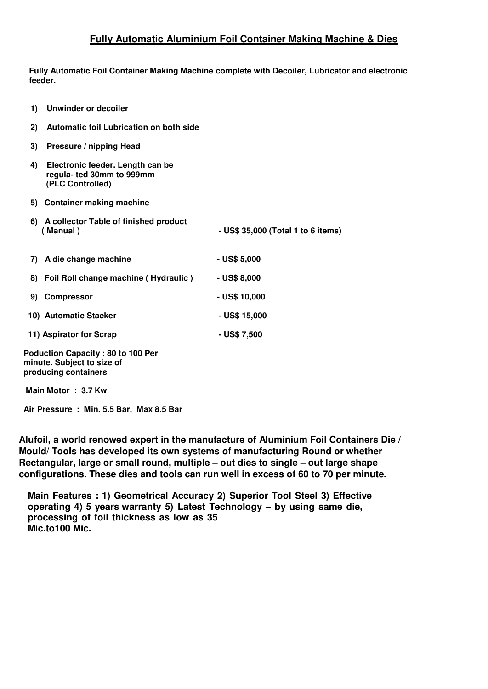## **Fully Automatic Aluminium Foil Container Making Machine & Dies**

**Fully Automatic Foil Container Making Machine complete with Decoiler, Lubricator and electronic feeder.**

| <b>Unwinder or decoiler</b><br>1)                                                       |                                         |                                    |
|-----------------------------------------------------------------------------------------|-----------------------------------------|------------------------------------|
| 2)                                                                                      | Automatic foil Lubrication on both side |                                    |
| 3)<br>Pressure / nipping Head                                                           |                                         |                                    |
| 4)<br>Electronic feeder. Length can be<br>regula- ted 30mm to 999mm<br>(PLC Controlled) |                                         |                                    |
| 5) Container making machine                                                             |                                         |                                    |
| A collector Table of finished product<br>6)<br>(Manual)                                 |                                         | - US\$ 35,000 (Total 1 to 6 items) |
| A die change machine<br>7)                                                              |                                         | $-$ US\$ 5,000                     |
| 8) Foil Roll change machine (Hydraulic)                                                 |                                         | - US\$ 8,000                       |
| <b>Compressor</b><br>9)                                                                 |                                         | - US\$ 10,000                      |
| 10) Automatic Stacker                                                                   |                                         | - US\$ 15,000                      |
| 11) Aspirator for Scrap                                                                 |                                         | - US\$ 7,500                       |
|                                                                                         |                                         |                                    |

**Main Motor : 3.7 Kw**

**Air Pressure : Min. 5.5 Bar, Max 8.5 Bar**

**Alufoil, a world renowed expert in the manufacture of Aluminium Foil Containers Die / Mould/ Tools has developed its own systems of manufacturing Round or whether Rectangular, large or small round, multiple – out dies to single – out large shape configurations. These dies and tools can run well in excess of 60 to 70 per minute.**

**Main Features : 1) Geometrical Accuracy 2) Superior Tool Steel 3) Effective operating 4) 5 years warranty 5) Latest Technology – by using same die, processing of foil thickness as low as 35 Mic.to100 Mic.**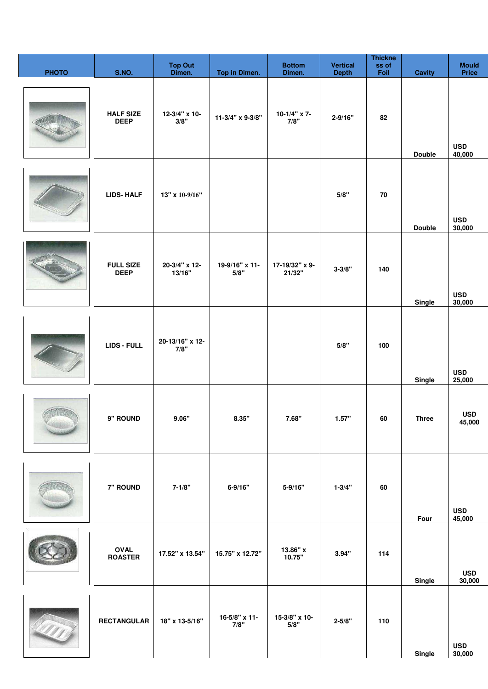| <b>PHOTO</b> | <b>S.NO.</b>                    | <b>Top Out</b><br>Dimen. | Top in Dimen.          | <b>Bottom</b><br>Dimen.     | <b>Vertical</b><br><b>Depth</b> | <b>Thickne</b><br>ss of<br>Foil | <b>Cavity</b> | <b>Mould</b><br><b>Price</b> |
|--------------|---------------------------------|--------------------------|------------------------|-----------------------------|---------------------------------|---------------------------------|---------------|------------------------------|
|              | <b>HALF SIZE</b><br><b>DEEP</b> | 12-3/4" x 10-<br>3/8"    | 11-3/4" x 9-3/8"       | 10-1/4" $\times$ 7-<br>7/8" | $2 - 9/16"$                     | 82                              | <b>Double</b> | <b>USD</b><br>40,000         |
|              | <b>LIDS-HALF</b>                | 13" x 10-9/16"           |                        |                             | 5/8"                            | 70                              | <b>Double</b> | <b>USD</b><br>30,000         |
|              | <b>FULL SIZE</b><br><b>DEEP</b> | 20-3/4" x 12-<br>13/16"  | 19-9/16" x 11-<br>5/8" | 17-19/32" x 9-<br>21/32"    | $3 - 3/8"$                      | 140                             | Single        | <b>USD</b><br>30,000         |
|              | LIDS - FULL                     | 20-13/16" x 12-<br>7/8"  |                        |                             | 5/8"                            | 100                             | Single        | <b>USD</b><br>25,000         |
|              | 9" ROUND                        | 9.06"                    | 8.35"                  | 7.68"                       | 1.57"                           | 60                              | <b>Three</b>  | <b>USD</b><br>45,000         |
|              | 7" ROUND                        | $7 - 1/8"$               | $6 - 9/16"$            | $5 - 9/16"$                 | $1 - 3/4"$                      | 60                              | Four          | <b>USD</b><br>45,000         |
|              | <b>OVAL</b><br><b>ROASTER</b>   | 17.52" x 13.54"          | 15.75" x 12.72"        | 13.86" x<br>10.75"          | 3.94"                           | 114                             | Single        | <b>USD</b><br>30,000         |
|              | <b>RECTANGULAR</b>              | 18" x 13-5/16"           | 16-5/8" x 11-<br>7/8"  | 15-3/8" x 10-<br>5/8"       | $2 - 5/8"$                      | 110                             | Single        | <b>USD</b><br>30,000         |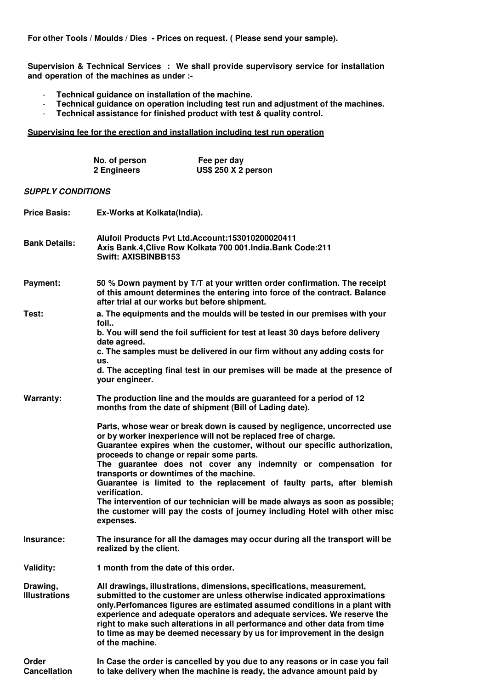**For other Tools / Moulds / Dies - Prices on request. ( Please send your sample).**

**Supervision & Technical Services : We shall provide supervisory service for installation and operation of the machines as under :-**

- **Technical guidance on installation of the machine.**
- **Technical guidance on operation including test run and adjustment of the machines.**
- **Technical assistance for finished product with test & quality control.**

## **Supervising fee for the erection and installation including test run operation**

|                                  | No. of person<br>2 Engineers                                                                                                                                                                            | Fee per day<br><b>US\$ 250 X 2 person</b>                                                                                                                                                                                                                                                                                                                                                                                                                         |  |  |  |  |
|----------------------------------|---------------------------------------------------------------------------------------------------------------------------------------------------------------------------------------------------------|-------------------------------------------------------------------------------------------------------------------------------------------------------------------------------------------------------------------------------------------------------------------------------------------------------------------------------------------------------------------------------------------------------------------------------------------------------------------|--|--|--|--|
| <b>SUPPLY CONDITIONS</b>         |                                                                                                                                                                                                         |                                                                                                                                                                                                                                                                                                                                                                                                                                                                   |  |  |  |  |
| <b>Price Basis:</b>              | Ex-Works at Kolkata(India).                                                                                                                                                                             |                                                                                                                                                                                                                                                                                                                                                                                                                                                                   |  |  |  |  |
| <b>Bank Details:</b>             | Alufoil Products Pvt Ltd.Account:153010200020411<br>Axis Bank.4. Clive Row Kolkata 700 001. India. Bank Code: 211<br><b>Swift: AXISBINBB153</b>                                                         |                                                                                                                                                                                                                                                                                                                                                                                                                                                                   |  |  |  |  |
| Payment:                         | 50 % Down payment by T/T at your written order confirmation. The receipt<br>of this amount determines the entering into force of the contract. Balance<br>after trial at our works but before shipment. |                                                                                                                                                                                                                                                                                                                                                                                                                                                                   |  |  |  |  |
| Test:                            | foil                                                                                                                                                                                                    | a. The equipments and the moulds will be tested in our premises with your                                                                                                                                                                                                                                                                                                                                                                                         |  |  |  |  |
|                                  | date agreed.                                                                                                                                                                                            | b. You will send the foil sufficient for test at least 30 days before delivery                                                                                                                                                                                                                                                                                                                                                                                    |  |  |  |  |
|                                  | c. The samples must be delivered in our firm without any adding costs for<br>us.                                                                                                                        |                                                                                                                                                                                                                                                                                                                                                                                                                                                                   |  |  |  |  |
|                                  | your engineer.                                                                                                                                                                                          | d. The accepting final test in our premises will be made at the presence of                                                                                                                                                                                                                                                                                                                                                                                       |  |  |  |  |
| Warranty:                        |                                                                                                                                                                                                         | The production line and the moulds are guaranteed for a period of 12<br>months from the date of shipment (Bill of Lading date).                                                                                                                                                                                                                                                                                                                                   |  |  |  |  |
|                                  | proceeds to change or repair some parts.<br>transports or downtimes of the machine.<br>verification.                                                                                                    | Parts, whose wear or break down is caused by negligence, uncorrected use<br>or by worker inexperience will not be replaced free of charge.<br>Guarantee expires when the customer, without our specific authorization,<br>The guarantee does not cover any indemnity or compensation for<br>Guarantee is limited to the replacement of faulty parts, after blemish<br>The intervention of our technician will be made always as soon as possible;                 |  |  |  |  |
|                                  | expenses.                                                                                                                                                                                               | the customer will pay the costs of journey including Hotel with other misc                                                                                                                                                                                                                                                                                                                                                                                        |  |  |  |  |
| Insurance:                       | realized by the client.                                                                                                                                                                                 | The insurance for all the damages may occur during all the transport will be                                                                                                                                                                                                                                                                                                                                                                                      |  |  |  |  |
| Validity:                        | 1 month from the date of this order.                                                                                                                                                                    |                                                                                                                                                                                                                                                                                                                                                                                                                                                                   |  |  |  |  |
| Drawing,<br><b>Illustrations</b> | of the machine.                                                                                                                                                                                         | All drawings, illustrations, dimensions, specifications, measurement,<br>submitted to the customer are unless otherwise indicated approximations<br>only. Perfomances figures are estimated assumed conditions in a plant with<br>experience and adequate operators and adequate services. We reserve the<br>right to make such alterations in all performance and other data from time<br>to time as may be deemed necessary by us for improvement in the design |  |  |  |  |
| Order<br><b>Cancellation</b>     |                                                                                                                                                                                                         | In Case the order is cancelled by you due to any reasons or in case you fail<br>to take delivery when the machine is ready, the advance amount paid by                                                                                                                                                                                                                                                                                                            |  |  |  |  |